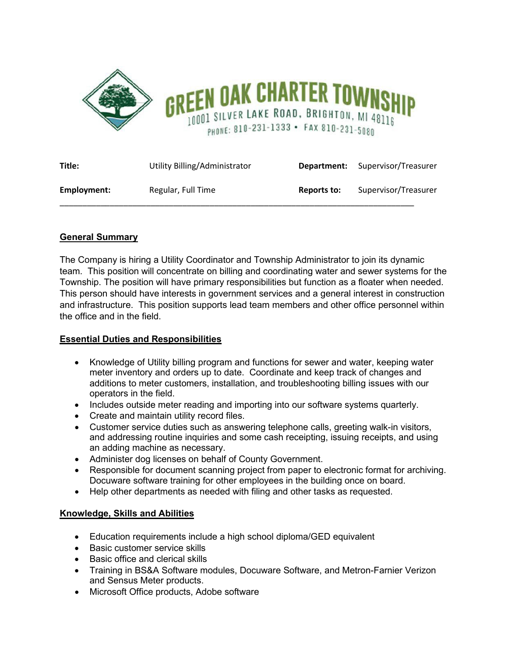

| Title:      | Utility Billing/Administrator | Department: | Supervisor/Treasurer |
|-------------|-------------------------------|-------------|----------------------|
| Employment: | Regular, Full Time            | Reports to: | Supervisor/Treasurer |

# **General Summary**

The Company is hiring a Utility Coordinator and Township Administrator to join its dynamic team. This position will concentrate on billing and coordinating water and sewer systems for the Township. The position will have primary responsibilities but function as a floater when needed. This person should have interests in government services and a general interest in construction and infrastructure. This position supports lead team members and other office personnel within the office and in the field.

## **Essential Duties and Responsibilities**

- Knowledge of Utility billing program and functions for sewer and water, keeping water meter inventory and orders up to date. Coordinate and keep track of changes and additions to meter customers, installation, and troubleshooting billing issues with our operators in the field.
- Includes outside meter reading and importing into our software systems quarterly.
- Create and maintain utility record files.
- Customer service duties such as answering telephone calls, greeting walk-in visitors, and addressing routine inquiries and some cash receipting, issuing receipts, and using an adding machine as necessary.
- Administer dog licenses on behalf of County Government.
- Responsible for document scanning project from paper to electronic format for archiving. Docuware software training for other employees in the building once on board.
- Help other departments as needed with filing and other tasks as requested.

## **Knowledge, Skills and Abilities**

- Education requirements include a high school diploma/GED equivalent
- Basic customer service skills
- Basic office and clerical skills
- Training in BS&A Software modules, Docuware Software, and Metron-Farnier Verizon and Sensus Meter products.
- Microsoft Office products, Adobe software